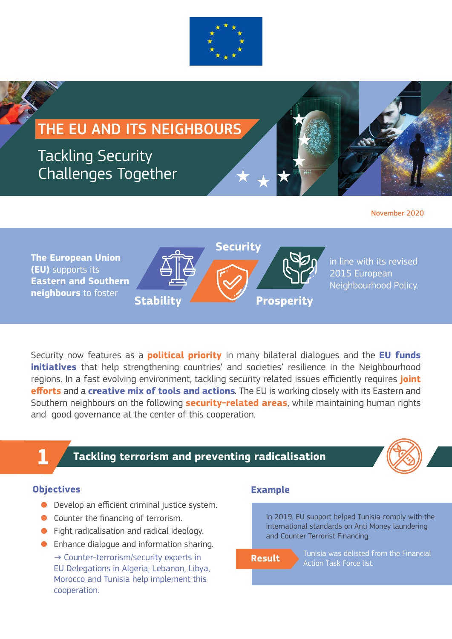

## THE EU AND ITS NEIGHBOURS

### Tackling Security Challenges Together



November 2020

**The European Union (EU)** supports its **Eastern and Southern neighbours** to foster **Stability Security Prosperity**

in line with its revised 2015 European Neighbourhood Policy.

Security now features as a **political priority** in many bilateral dialogues and the **EU funds initiatives** that help strengthening countries' and societies' resilience in the Neighbourhood regions. In a fast evolving environment, tackling security related issues efficiently requires **joint efforts** and a **creative mix of tools and actions***.* The EU is working closely with its Eastern and Southern neighbours on the following **security-related areas**, while maintaining human rights and good governance at the center of this cooperation.

# **1**

### **Tackling terrorism and preventing radicalisation**



### **Objectives**

- Develop an efficient criminal justice system.
- Counter the financing of terrorism.
- Fight radicalisation and radical ideology.
- Enhance dialogue and information sharing.  $\rightarrow$  Counter-terrorism/security experts in EU Delegations in Algeria, Lebanon, Libya, Morocco and Tunisia help implement this cooperation.

### **Example**

In 2019, EU support helped Tunisia comply with the international standards on Anti Money laundering and Counter Terrorist Financing.

Tunisia was delisted from the Financial **Result** Action Task Force list.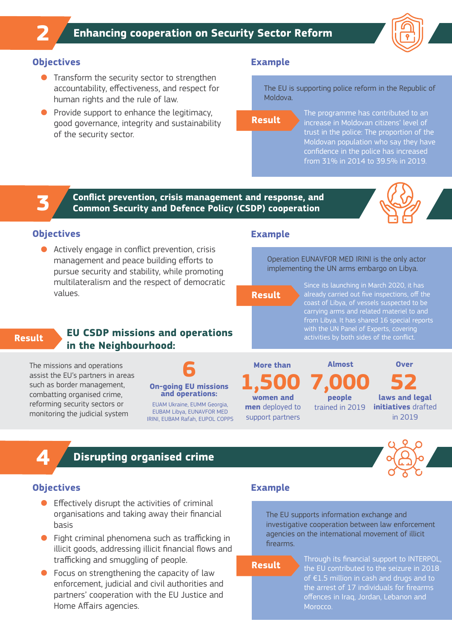

### **Objectives**

**2**

- **•** Transform the security sector to strengthen accountability, effectiveness, and respect for human rights and the rule of law.
- Provide support to enhance the legitimacy, good governance, integrity and sustainability of the security sector.

### **Example**

The EU is supporting police reform in the Republic of Moldova.

**Result**

The programme has contributed to an increase in Moldovan citizens' level of trust in the police: The proportion of the Moldovan population who say they have confidence in the police has increased from 31% in 2014 to 39.5% in 2019.

### **Conflict prevention, crisis management and response, and Common Security and Defence Policy (CSDP) cooperation**



### **Objectives**

**3**

● Actively engage in conflict prevention, crisis management and peace building efforts to pursue security and stability, while promoting multilateralism and the respect of democratic values.

### **Example**

Operation EUNAVFOR MED IRINI is the only actor implementing the UN arms embargo on Libya.

**Result**

Since its launching in March 2020, it has already carried out five inspections, off the coast of Libya, of vessels suspected to be carrying arms and related materiel to and from Libya. It has shared 16 special reports with the UN Panel of Experts, covering

### **Result**

### **activities by both sides of the conflict. EU CSDP missions and operations in the Neighbourhood:**

The missions and operations assist the EU's partners in areas such as border management, combatting organised crime, reforming security sectors or monitoring the judicial system



EUAM Ukraine, EUMM Georgia, EUBAM Libya, EUNAVFOR MED IRINI, EUBAM Rafah, EUPOL COPPS

**men** deployed to support partners **More than 1,500**

**7,000 people**  trained in 2019 **Almost**

**52 Over**

**laws and legal initiatives** drafted in 2019



### **Disrupting organised crime**

### **Objectives**

**4**

- $\bullet$  Effectively disrupt the activities of criminal organisations and taking away their financial basis
- Fight criminal phenomena such as trafficking in illicit goods, addressing illicit financial flows and trafficking and smuggling of people.
- Focus on strengthening the capacity of law enforcement, judicial and civil authorities and partners' cooperation with the EU Justice and Home Affairs agencies.

### **Example**

The EU supports information exchange and investigative cooperation between law enforcement agencies on the international movement of illicit firearms.

**Result**

Through its financial support to INTERPOL, the EU contributed to the seizure in 2018 of €1.5 million in cash and drugs and to the arrest of 17 individuals for firearms offences in Iraq, Jordan, Lebanon and Morocco.